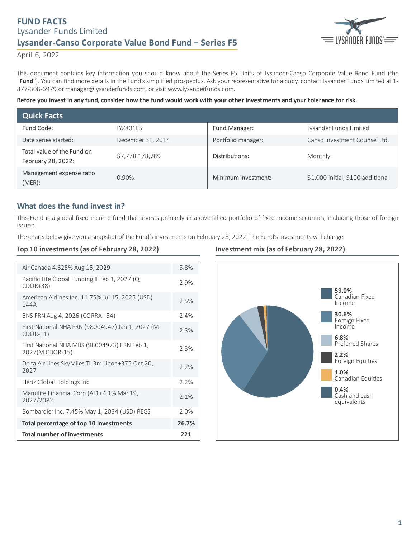# **FUND FACTS** Lysander Funds Limited **Lysander-Canso Corporate Value Bond Fund ‒ Series F5**



April 6, 2022

This document contains key information you should know about the Series F5 Units of Lysander-Canso Corporate Value Bond Fund (the "Fund"). You can find more details in the Fund's simplified prospectus. Ask your representative for a copy, contact Lysander Funds Limited at 1-877-308-6979 or manager@lysanderfunds.com, or visit www.lysanderfunds.com.

#### Before you invest in any fund, consider how the fund would work with your other investments and your tolerance for risk.

| <b>Quick Facts</b>                               |                   |                     |                                   |
|--------------------------------------------------|-------------------|---------------------|-----------------------------------|
| Fund Code:                                       | IY7801F5          | Fund Manager:       | Lysander Funds Limited            |
| Date series started:                             | December 31, 2014 | Portfolio manager:  | Canso Investment Counsel Ltd.     |
| Total value of the Fund on<br>February 28, 2022: | \$7,778,178,789   | Distributions:      | Monthly                           |
| Management expense ratio<br>$(MER)$ :            | 0.90%             | Minimum investment: | \$1,000 initial, \$100 additional |

# **What does the fund invest in?**

This Fund is a global fixed income fund that invests primarily in a diversified portfolio of fixed income securities, including those of foreign issuers.

The charts below give you a snapshot of the Fund's investments on February 28, 2022. The Fund's investments will change.

### **Top 10 investments (as of February 28, 2022)**

| Air Canada 4.625% Aug 15, 2029                                  | 5.8%  |
|-----------------------------------------------------------------|-------|
| Pacific Life Global Funding II Feb 1, 2027 (Q<br>$CDOR+38$      | 2.9%  |
| American Airlines Inc. 11.75% Jul 15, 2025 (USD)<br>144A        | 2.5%  |
| BNS FRN Aug 4, 2026 (CORRA +54)                                 | 2.4%  |
| First National NHA FRN (98004947) Jan 1, 2027 (M<br>$CDOR-11)$  | 2.3%  |
| First National NHA MBS (98004973) FRN Feb 1,<br>2027(M CDOR-15) | 2.3%  |
| Delta Air Lines SkyMiles TL 3m Libor +375 Oct 20,<br>2027       | 2.2%  |
| Hertz Global Holdings Inc                                       | 2.2%  |
| Manulife Financial Corp (AT1) 4.1% Mar 19,<br>2027/2082         | 2.1%  |
| Bombardier Inc. 7.45% May 1, 2034 (USD) REGS                    | 2.0%  |
| Total percentage of top 10 investments                          | 26.7% |
| <b>Total number of investments</b>                              | 221   |

### **Investment mix (as of February 28, 2022)**

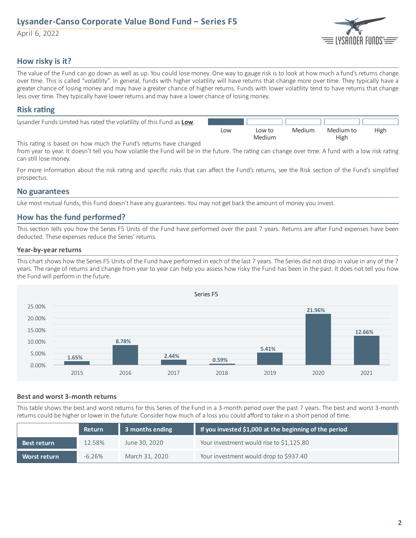# **Lysander-Canso Corporate Value Bond Fund ‒ Series F5**

April 6, 2022



# **How risky is it?**

The value of the Fund can go down as well as up. You could lose money. One way to gauge risk is to look at how much a fund's returns change over time. This is called "volatility". In general, funds with higher volatility will have returns that change more over time. They typically have a greater chance of losing money and may have a greater chance of higher returns. Funds with lower volatility tend to have returns that change less over time. They typically have lower returns and may have a lower chance of losing money.

## **Risk** rating

| Lysander Funds Limited has rated the volatility of this Fund as Low. |     |        |        |           |      |
|----------------------------------------------------------------------|-----|--------|--------|-----------|------|
|                                                                      | Low | Low to | Medium | Medium to | High |
|                                                                      |     | Medium |        | High      |      |

This rating is based on how much the Fund's returns have changed

from year to year. It doesn't tell you how volatile the Fund will be in the future. The rating can change over time. A fund with a low risk rating can still lose money.

For more information about the risk rating and specific risks that can affect the Fund's returns, see the Risk section of the Fund's simplified prospectus.

### **No guarantees**

Like most mutual funds, this Fund doesn't have any guarantees. You may not get back the amount of money you invest.

# **How has the fund performed?**

This section tells you how the Series F5 Units of the Fund have performed over the past 7 years. Returns are after Fund expenses have been deducted. These expenses reduce the Series' returns.

#### **Year-by-year returns**

This chart shows how the Series F5 Units of the Fund have performed in each of the last 7 years. The Series did not drop in value in any of the 7 years. The range of returns and change from year to year can help you assess how risky the Fund has been in the past. It does not tell you how the Fund will perform in the future.



#### **Best and worst 3-month returns**

This table shows the best and worst returns for this Series of the Fund in a 3-month period over the past 7 years. The best and worst 3-month returns could be higher or lower in the future. Consider how much of a loss you could afford to take in a short period of time.

|                     | <b>Return</b> | 3 months ending | If you invested \$1,000 at the beginning of the period |
|---------------------|---------------|-----------------|--------------------------------------------------------|
| Best return         | 12.58%        | June 30, 2020   | Your investment would rise to \$1,125.80               |
| <b>Worst return</b> | $-6.26\%$     | March 31, 2020  | Your investment would drop to \$937.40                 |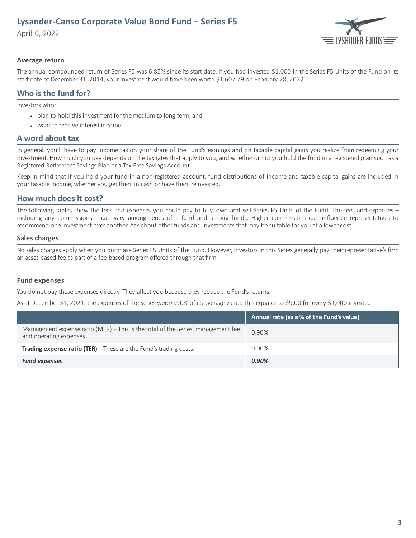# **Lysander-Canso Corporate Value Bond Fund ‒ Series F5**

April 6, 2022



#### **Average return**

The annual compounded return of Series F5 was 6.85% since its start date. If you had invested \$1,000 in the Series F5 Units of the Fund on its start date of December 31, 2014, your investment would have been worth \$1,607.79 on February 28, 2022.

# **Who is the fund for?**

Investors who:

- plan to hold this investment for the medium to long term; and
- want to receive interest income.

### **A word about tax**

In general, you'll have to pay income tax on your share of the Fund's earnings and on taxable capital gains you realize from redeeming your investment. How much you pay depends on the tax rates that apply to you, and whether or not you hold the fund in a registered plan such as a Registered Retirement Savings Plan or a Tax-Free Savings Account.

Keep in mind that if you hold your fund in a non-registered account, fund distributions of income and taxable capital gains are included in your taxable income, whether you get them in cash or have them reinvested.

## **How much does it cost?**

The following tables show the fees and expenses you could pay to buy, own and sell Series F5 Units of the Fund. The fees and expenses – including any commissions – can vary among series of a fund and among funds. Higher commissions can influence representatives to recommend one investment over another. Ask about other funds and investments that may be suitable for you at a lower cost.

#### **Sales charges**

No sales charges apply when you purchase Series F5 Units of the Fund. However, investors in this Series generally pay their representative's firm an asset-based fee as part of a fee-based program offered through that firm.

#### **Fund expenses**

You do not pay these expenses directly. They affect you because they reduce the Fund's returns.

As at December 31, 2021, the expenses of the Series were 0.90% of its average value. This equates to \$9.00 for every \$1,000 invested.

|                                                                                                             | Annual rate (as a % of the Fund's value) |
|-------------------------------------------------------------------------------------------------------------|------------------------------------------|
| Management expense ratio (MER) - This is the total of the Series' management fee<br>and operating expenses. | 0.90%                                    |
| <b>Trading expense ratio (TER)</b> $-$ These are the Fund's trading costs.                                  | $0.00\%$                                 |
| <b>Fund expenses</b>                                                                                        | 0.90%                                    |